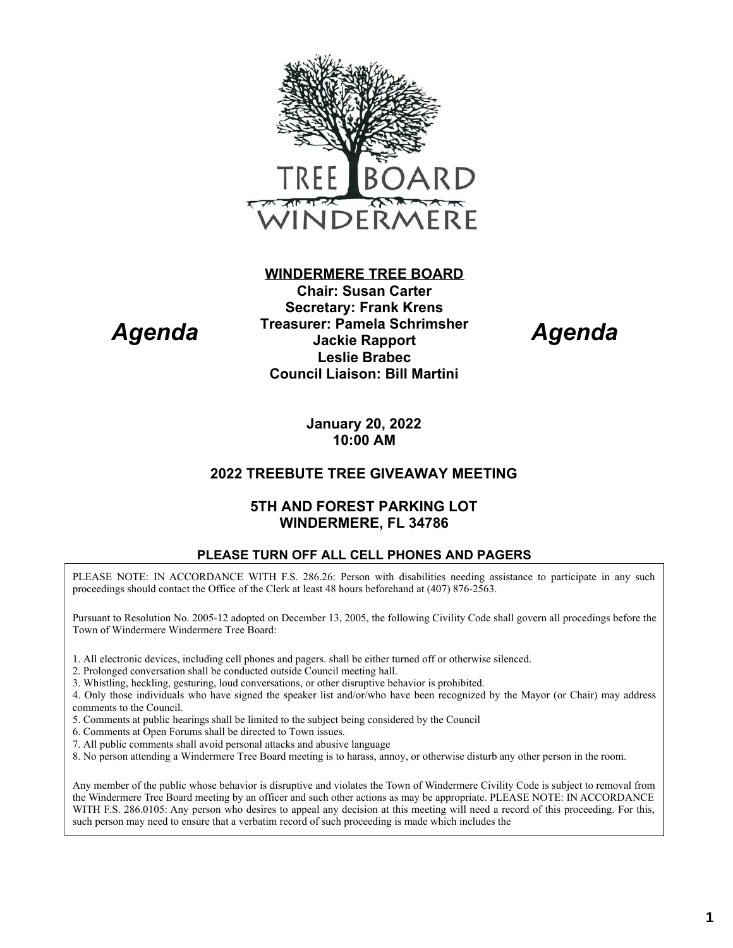

# *Agenda*

**WINDERMERE TREE BOARD Chair: Susan Carter Secretary: Frank Krens Treasurer: Pamela Schrimsher Jackie Rapport Leslie Brabec Council Liaison: Bill Martini**

*Agenda*

**January 20, 2022 10:00 AM**

## **2022 TREEBUTE TREE GIVEAWAY MEETING**

### **5TH AND FOREST PARKING LOT WINDERMERE, FL 34786**

#### **PLEASE TURN OFF ALL CELL PHONES AND PAGERS**

PLEASE NOTE: IN ACCORDANCE WITH F.S. 286.26: Person with disabilities needing assistance to participate in any such proceedings should contact the Office of the Clerk at least 48 hours beforehand at (407) 876-2563.

Pursuant to Resolution No. 2005-12 adopted on December 13, 2005, the following Civility Code shall govern all procedings before the Town of Windermere Windermere Tree Board:

- 1. All electronic devices, including cell phones and pagers. shall be either turned off or otherwise silenced.
- 2. Prolonged conversation shall be conducted outside Council meeting hall.
- 3. Whistling, heckling, gesturing, loud conversations, or other disruptive behavior is prohibited.
- 4. Only those individuals who have signed the speaker list and/or/who have been recognized by the Mayor (or Chair) may address comments to the Council.
- 5. Comments at public hearings shall be limited to the subject being considered by the Council
- 6. Comments at Open Forums shall be directed to Town issues.
- 7. All public comments shall avoid personal attacks and abusive language
- 8. No person attending a Windermere Tree Board meeting is to harass, annoy, or otherwise disturb any other person in the room.

Any member of the public whose behavior is disruptive and violates the Town of Windermere Civility Code is subject to removal from the Windermere Tree Board meeting by an officer and such other actions as may be appropriate. PLEASE NOTE: IN ACCORDANCE WITH F.S. 286.0105: Any person who desires to appeal any decision at this meeting will need a record of this proceeding. For this, such person may need to ensure that a verbatim record of such proceeding is made which includes the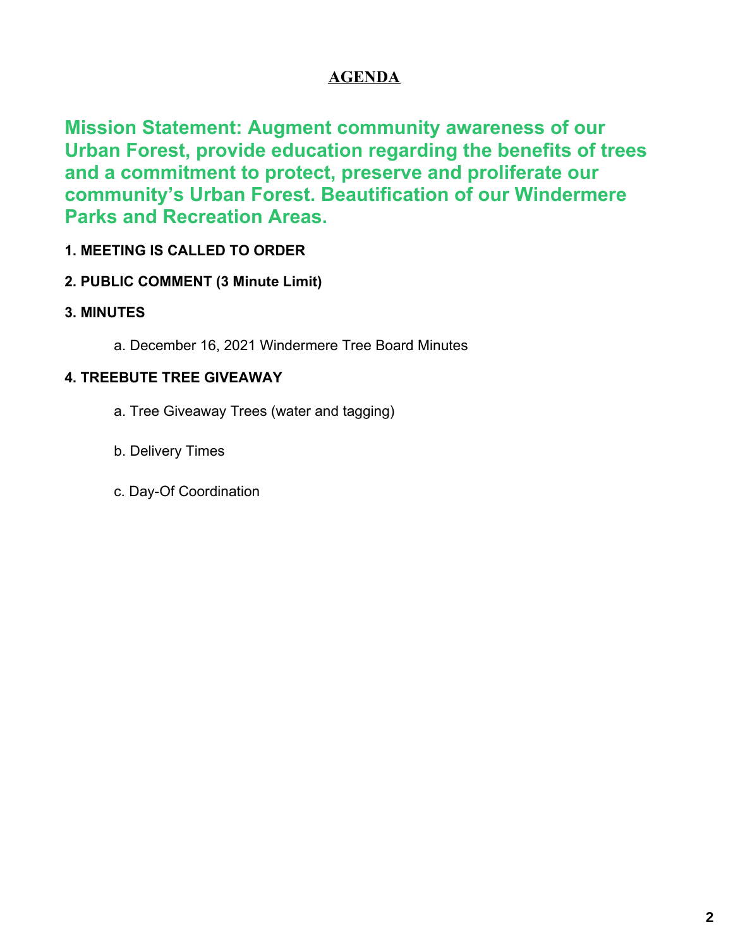## **AGENDA**

**Mission Statement: Augment community awareness of our Urban Forest, provide education regarding the benefits of trees and a commitment to protect, preserve and proliferate our community's Urban Forest. Beautification of our Windermere Parks and Recreation Areas.**

## **1. MEETING IS CALLED TO ORDER**

## **2. PUBLIC COMMENT (3 Minute Limit)**

## **3. MINUTES**

a. December 16, 2021 Windermere Tree Board Minutes

## **4. TREEBUTE TREE GIVEAWAY**

- a. Tree Giveaway Trees (water and tagging)
- b. Delivery Times
- c. Day-Of Coordination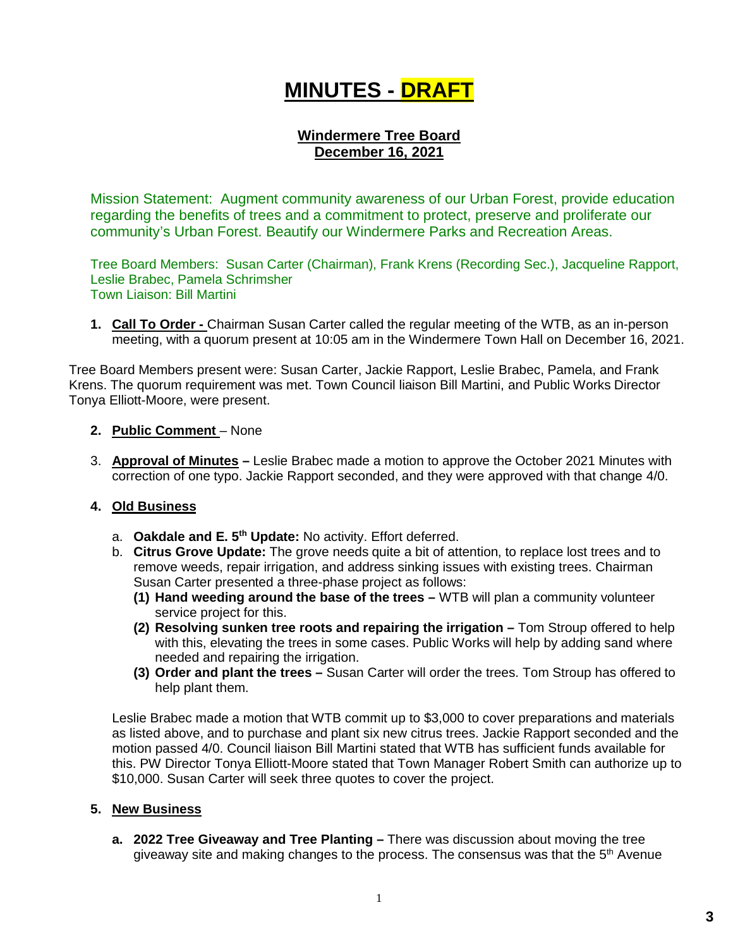## **MINUTES - DRAFT**

### **Windermere Tree Board December 16, 2021**

Mission Statement: Augment community awareness of our Urban Forest, provide education regarding the benefits of trees and a commitment to protect, preserve and proliferate our community's Urban Forest. Beautify our Windermere Parks and Recreation Areas.

Tree Board Members: Susan Carter (Chairman), Frank Krens (Recording Sec.), Jacqueline Rapport, Leslie Brabec, Pamela Schrimsher Town Liaison: Bill Martini

**1. Call To Order -** Chairman Susan Carter called the regular meeting of the WTB, as an in-person meeting, with a quorum present at 10:05 am in the Windermere Town Hall on December 16, 2021.

Tree Board Members present were: Susan Carter, Jackie Rapport, Leslie Brabec, Pamela, and Frank Krens. The quorum requirement was met. Town Council liaison Bill Martini, and Public Works Director Tonya Elliott-Moore, were present.

#### **2. Public Comment** – None

3. **Approval of Minutes –** Leslie Brabec made a motion to approve the October 2021 Minutes with correction of one typo. Jackie Rapport seconded, and they were approved with that change 4/0.

#### **4. Old Business**

- a. **Oakdale and E. 5th Update:** No activity. Effort deferred.
- b. **Citrus Grove Update:** The grove needs quite a bit of attention, to replace lost trees and to remove weeds, repair irrigation, and address sinking issues with existing trees. Chairman Susan Carter presented a three-phase project as follows:
	- **(1) Hand weeding around the base of the trees –** WTB will plan a community volunteer service project for this.
	- **(2) Resolving sunken tree roots and repairing the irrigation –** Tom Stroup offered to help with this, elevating the trees in some cases. Public Works will help by adding sand where needed and repairing the irrigation.
	- **(3) Order and plant the trees –** Susan Carter will order the trees. Tom Stroup has offered to help plant them.

Leslie Brabec made a motion that WTB commit up to \$3,000 to cover preparations and materials as listed above, and to purchase and plant six new citrus trees. Jackie Rapport seconded and the motion passed 4/0. Council liaison Bill Martini stated that WTB has sufficient funds available for this. PW Director Tonya Elliott-Moore stated that Town Manager Robert Smith can authorize up to \$10,000. Susan Carter will seek three quotes to cover the project.

#### **5. New Business**

**a. 2022 Tree Giveaway and Tree Planting –** There was discussion about moving the tree giveaway site and making changes to the process. The consensus was that the  $5<sup>th</sup>$  Avenue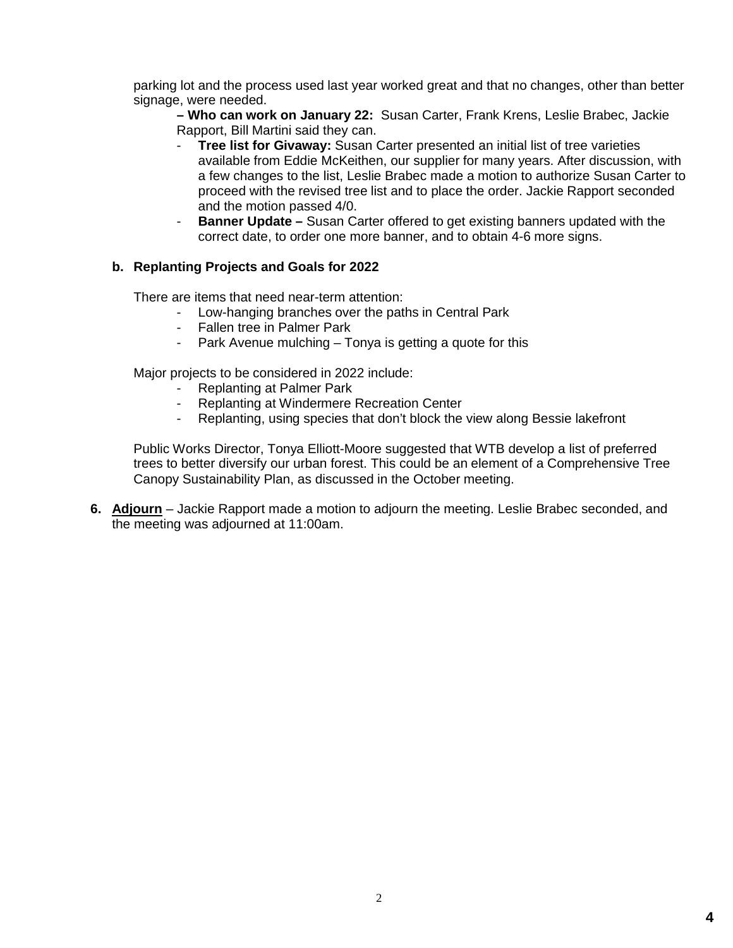parking lot and the process used last year worked great and that no changes, other than better signage, were needed.

**– Who can work on January 22:** Susan Carter, Frank Krens, Leslie Brabec, Jackie Rapport, Bill Martini said they can.

- **Tree list for Givaway:** Susan Carter presented an initial list of tree varieties available from Eddie McKeithen, our supplier for many years. After discussion, with a few changes to the list, Leslie Brabec made a motion to authorize Susan Carter to proceed with the revised tree list and to place the order. Jackie Rapport seconded and the motion passed 4/0.
- **Banner Update –** Susan Carter offered to get existing banners updated with the correct date, to order one more banner, and to obtain 4-6 more signs.

#### **b. Replanting Projects and Goals for 2022**

There are items that need near-term attention:

- Low-hanging branches over the paths in Central Park
- Fallen tree in Palmer Park
- Park Avenue mulching Tonya is getting a quote for this

Major projects to be considered in 2022 include:

- Replanting at Palmer Park
- Replanting at Windermere Recreation Center
- Replanting, using species that don't block the view along Bessie lakefront

Public Works Director, Tonya Elliott-Moore suggested that WTB develop a list of preferred trees to better diversify our urban forest. This could be an element of a Comprehensive Tree Canopy Sustainability Plan, as discussed in the October meeting.

**6. Adjourn** – Jackie Rapport made a motion to adjourn the meeting. Leslie Brabec seconded, and the meeting was adjourned at 11:00am.